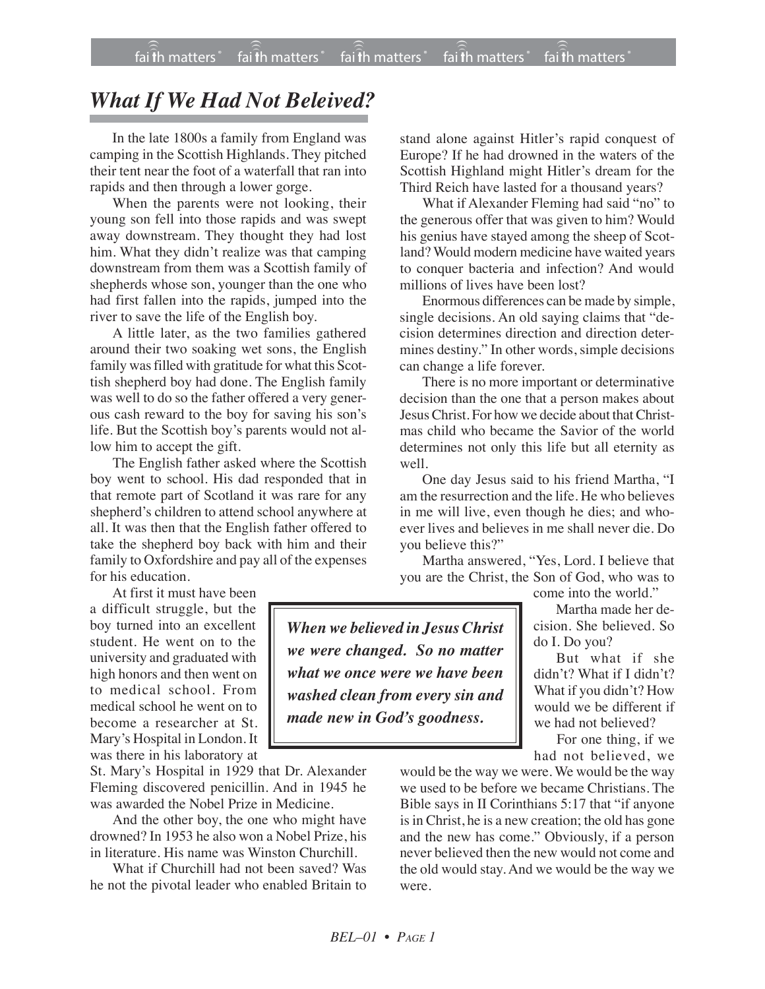## *What If We Had Not Beleived?*

In the late 1800s a family from England was camping in the Scottish Highlands. They pitched their tent near the foot of a waterfall that ran into rapids and then through a lower gorge.

When the parents were not looking, their young son fell into those rapids and was swept away downstream. They thought they had lost him. What they didn't realize was that camping downstream from them was a Scottish family of shepherds whose son, younger than the one who had first fallen into the rapids, jumped into the river to save the life of the English boy.

A little later, as the two families gathered around their two soaking wet sons, the English family was filled with gratitude for what this Scottish shepherd boy had done. The English family was well to do so the father offered a very generous cash reward to the boy for saving his son's life. But the Scottish boy's parents would not allow him to accept the gift.

The English father asked where the Scottish boy went to school. His dad responded that in that remote part of Scotland it was rare for any shepherd's children to attend school anywhere at all. It was then that the English father offered to take the shepherd boy back with him and their family to Oxfordshire and pay all of the expenses for his education.

At first it must have been a difficult struggle, but the boy turned into an excellent student. He went on to the university and graduated with high honors and then went on to medical school. From medical school he went on to become a researcher at St. Mary's Hospital in London. It was there in his laboratory at

St. Mary's Hospital in 1929 that Dr. Alexander Fleming discovered penicillin. And in 1945 he was awarded the Nobel Prize in Medicine.

And the other boy, the one who might have drowned? In 1953 he also won a Nobel Prize, his in literature. His name was Winston Churchill.

What if Churchill had not been saved? Was he not the pivotal leader who enabled Britain to stand alone against Hitler's rapid conquest of Europe? If he had drowned in the waters of the Scottish Highland might Hitler's dream for the Third Reich have lasted for a thousand years?

What if Alexander Fleming had said "no" to the generous offer that was given to him? Would his genius have stayed among the sheep of Scotland? Would modern medicine have waited years to conquer bacteria and infection? And would millions of lives have been lost?

Enormous differences can be made by simple, single decisions. An old saying claims that "decision determines direction and direction determines destiny." In other words, simple decisions can change a life forever.

There is no more important or determinative decision than the one that a person makes about Jesus Christ. For how we decide about that Christmas child who became the Savior of the world determines not only this life but all eternity as well.

One day Jesus said to his friend Martha, "I am the resurrection and the life. He who believes in me will live, even though he dies; and whoever lives and believes in me shall never die. Do you believe this?"

Martha answered, "Yes, Lord. I believe that you are the Christ, the Son of God, who was to come into the world."

*When we believed in Jesus Christ we were changed. So no matter what we once were we have been washed clean from every sin and made new in God's goodness.*

Martha made her decision. She believed. So do I. Do you?

But what if she didn't? What if I didn't? What if you didn't? How would we be different if we had not believed?

For one thing, if we had not believed, we

would be the way we were. We would be the way we used to be before we became Christians. The Bible says in II Corinthians 5:17 that "if anyone is in Christ, he is a new creation; the old has gone and the new has come." Obviously, if a person never believed then the new would not come and the old would stay. And we would be the way we were.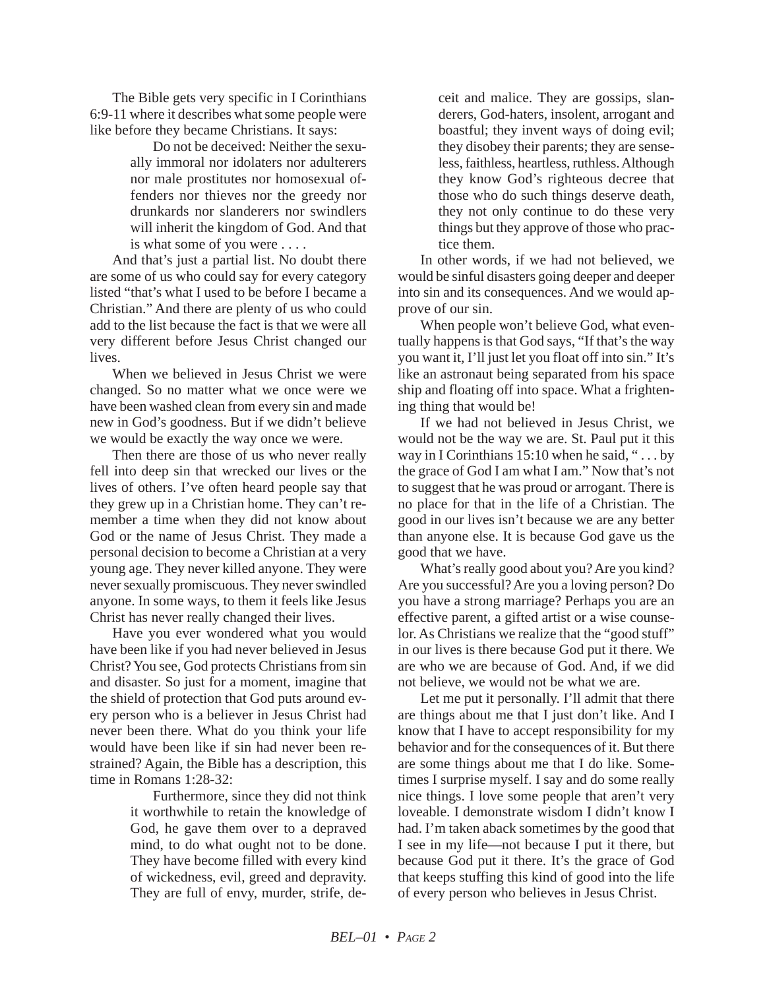The Bible gets very specific in I Corinthians 6:9-11 where it describes what some people were like before they became Christians. It says:

> Do not be deceived: Neither the sexually immoral nor idolaters nor adulterers nor male prostitutes nor homosexual offenders nor thieves nor the greedy nor drunkards nor slanderers nor swindlers will inherit the kingdom of God. And that is what some of you were . . . .

And that's just a partial list. No doubt there are some of us who could say for every category listed "that's what I used to be before I became a Christian." And there are plenty of us who could add to the list because the fact is that we were all very different before Jesus Christ changed our lives.

When we believed in Jesus Christ we were changed. So no matter what we once were we have been washed clean from every sin and made new in God's goodness. But if we didn't believe we would be exactly the way once we were.

Then there are those of us who never really fell into deep sin that wrecked our lives or the lives of others. I've often heard people say that they grew up in a Christian home. They can't remember a time when they did not know about God or the name of Jesus Christ. They made a personal decision to become a Christian at a very young age. They never killed anyone. They were never sexually promiscuous. They never swindled anyone. In some ways, to them it feels like Jesus Christ has never really changed their lives.

Have you ever wondered what you would have been like if you had never believed in Jesus Christ? You see, God protects Christians from sin and disaster. So just for a moment, imagine that the shield of protection that God puts around every person who is a believer in Jesus Christ had never been there. What do you think your life would have been like if sin had never been restrained? Again, the Bible has a description, this time in Romans 1:28-32:

> Furthermore, since they did not think it worthwhile to retain the knowledge of God, he gave them over to a depraved mind, to do what ought not to be done. They have become filled with every kind of wickedness, evil, greed and depravity. They are full of envy, murder, strife, de

ceit and malice. They are gossips, slanderers, God-haters, insolent, arrogant and boastful; they invent ways of doing evil; they disobey their parents; they are senseless, faithless, heartless, ruthless. Although they know God's righteous decree that those who do such things deserve death, they not only continue to do these very things but they approve of those who practice them.

In other words, if we had not believed, we would be sinful disasters going deeper and deeper into sin and its consequences. And we would approve of our sin.

When people won't believe God, what eventually happens is that God says, "If that's the way you want it, I'll just let you float off into sin." It's like an astronaut being separated from his space ship and floating off into space. What a frightening thing that would be!

If we had not believed in Jesus Christ, we would not be the way we are. St. Paul put it this way in I Corinthians 15:10 when he said, "... by the grace of God I am what I am." Now that's not to suggest that he was proud or arrogant. There is no place for that in the life of a Christian. The good in our lives isn't because we are any better than anyone else. It is because God gave us the good that we have.

What's really good about you? Are you kind? Are you successful? Are you a loving person? Do you have a strong marriage? Perhaps you are an effective parent, a gifted artist or a wise counselor. As Christians we realize that the "good stuff" in our lives is there because God put it there. We are who we are because of God. And, if we did not believe, we would not be what we are.

Let me put it personally. I'll admit that there are things about me that I just don't like. And I know that I have to accept responsibility for my behavior and for the consequences of it. But there are some things about me that I do like. Sometimes I surprise myself. I say and do some really nice things. I love some people that aren't very loveable. I demonstrate wisdom I didn't know I had. I'm taken aback sometimes by the good that I see in my life—not because I put it there, but because God put it there. It's the grace of God that keeps stuffing this kind of good into the life of every person who believes in Jesus Christ.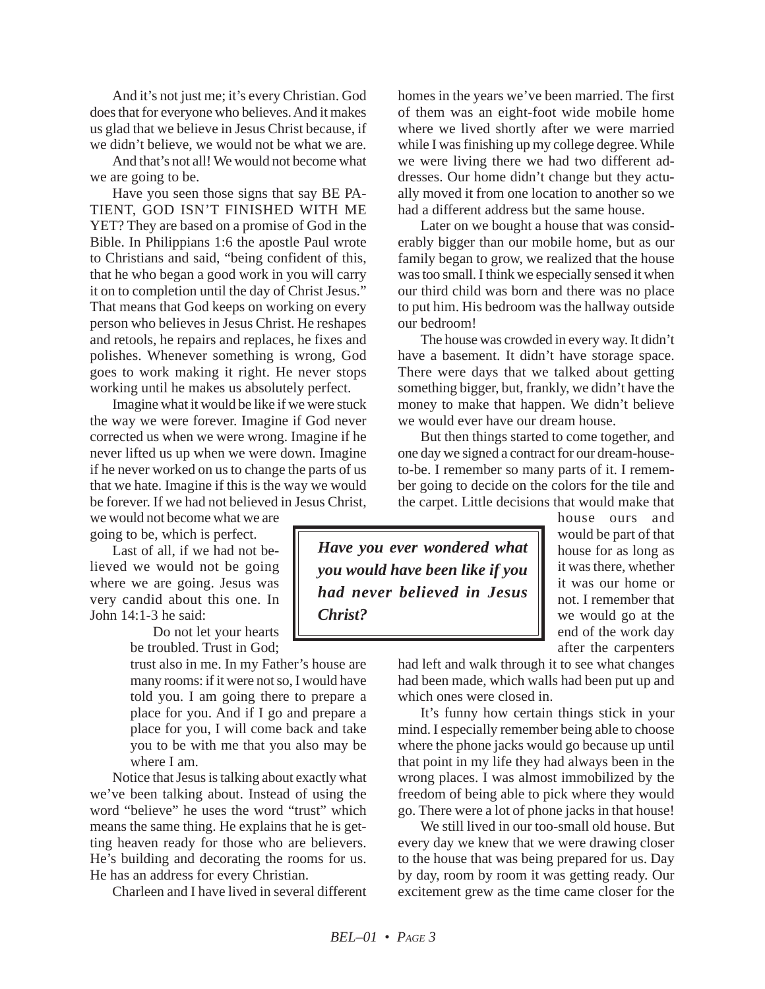And it's not just me; it's every Christian. God does that for everyone who believes. And it makes us glad that we believe in Jesus Christ because, if we didn't believe, we would not be what we are.

And that's not all! We would not become what we are going to be.

Have you seen those signs that say BE PA-TIENT, GOD ISN'T FINISHED WITH ME YET? They are based on a promise of God in the Bible. In Philippians 1:6 the apostle Paul wrote to Christians and said, "being confident of this, that he who began a good work in you will carry it on to completion until the day of Christ Jesus." That means that God keeps on working on every person who believes in Jesus Christ. He reshapes and retools, he repairs and replaces, he fixes and polishes. Whenever something is wrong, God goes to work making it right. He never stops working until he makes us absolutely perfect.

Imagine what it would be like if we were stuck the way we were forever. Imagine if God never corrected us when we were wrong. Imagine if he never lifted us up when we were down. Imagine if he never worked on us to change the parts of us that we hate. Imagine if this is the way we would be forever. If we had not believed in Jesus Christ,

we would not become what we are going to be, which is perfect.

Last of all, if we had not believed we would not be going where we are going. Jesus was very candid about this one. In John 14:1-3 he said:

Do not let your hearts be troubled. Trust in God;

trust also in me. In my Father's house are many rooms: if it were not so, I would have told you. I am going there to prepare a place for you. And if I go and prepare a place for you, I will come back and take you to be with me that you also may be where I am.

Notice that Jesus is talking about exactly what we've been talking about. Instead of using the word "believe" he uses the word "trust" which means the same thing. He explains that he is getting heaven ready for those who are believers. He's building and decorating the rooms for us. He has an address for every Christian.

Charleen and I have lived in several different

homes in the years we've been married. The first of them was an eight-foot wide mobile home where we lived shortly after we were married while I was finishing up my college degree. While we were living there we had two different addresses. Our home didn't change but they actually moved it from one location to another so we had a different address but the same house.

Later on we bought a house that was considerably bigger than our mobile home, but as our family began to grow, we realized that the house was too small. I think we especially sensed it when our third child was born and there was no place to put him. His bedroom was the hallway outside our bedroom!

The house was crowded in every way. It didn't have a basement. It didn't have storage space. There were days that we talked about getting something bigger, but, frankly, we didn't have the money to make that happen. We didn't believe we would ever have our dream house.

But then things started to come together, and one day we signed a contract for our dream-houseto-be. I remember so many parts of it. I remember going to decide on the colors for the tile and the carpet. Little decisions that would make that

*Have you ever wondered what you would have been like if you had never believed in Jesus Christ?*

house ours and would be part of that house for as long as it was there, whether it was our home or not. I remember that we would go at the end of the work day after the carpenters

had left and walk through it to see what changes had been made, which walls had been put up and which ones were closed in.

It's funny how certain things stick in your mind. I especially remember being able to choose where the phone jacks would go because up until that point in my life they had always been in the wrong places. I was almost immobilized by the freedom of being able to pick where they would go. There were a lot of phone jacks in that house!

We still lived in our too-small old house. But every day we knew that we were drawing closer to the house that was being prepared for us. Day by day, room by room it was getting ready. Our excitement grew as the time came closer for the